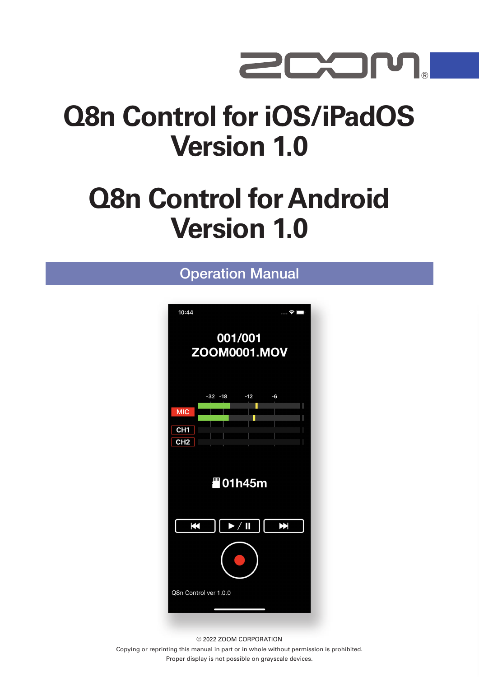

# **Q8n Control for iOS/iPadOS Version 1.0**

# **Q8n Control for Android Version 1.0**

#### Operation Manual



© 2022 ZOOM CORPORATION

Copying or reprinting this manual in part or in whole without permission is prohibited. Proper display is not possible on grayscale devices.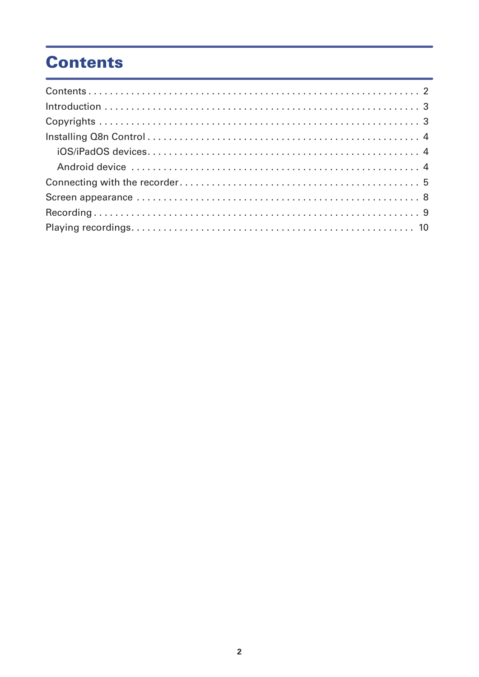## **Contents**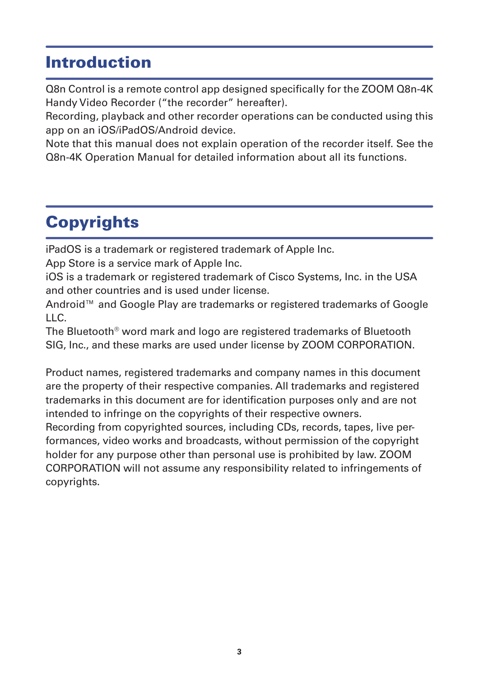### <span id="page-2-0"></span>Introduction

Q8n Control is a remote control app designed specifically for the ZOOM Q8n-4K Handy Video Recorder ("the recorder" hereafter).

Recording, playback and other recorder operations can be conducted using this app on an iOS/iPadOS/Android device.

Note that this manual does not explain operation of the recorder itself. See the Q8n-4K Operation Manual for detailed information about all its functions.

# **Copyrights**

iPadOS is a trademark or registered trademark of Apple Inc.

App Store is a service mark of Apple Inc.

iOS is a trademark or registered trademark of Cisco Systems, Inc. in the USA and other countries and is used under license.

Android™ and Google Play are trademarks or registered trademarks of Google LLC.

The Bluetooth® word mark and logo are registered trademarks of Bluetooth SIG, Inc., and these marks are used under license by ZOOM CORPORATION.

Product names, registered trademarks and company names in this document are the property of their respective companies. All trademarks and registered trademarks in this document are for identification purposes only and are not intended to infringe on the copyrights of their respective owners.

Recording from copyrighted sources, including CDs, records, tapes, live performances, video works and broadcasts, without permission of the copyright holder for any purpose other than personal use is prohibited by law. ZOOM CORPORATION will not assume any responsibility related to infringements of copyrights.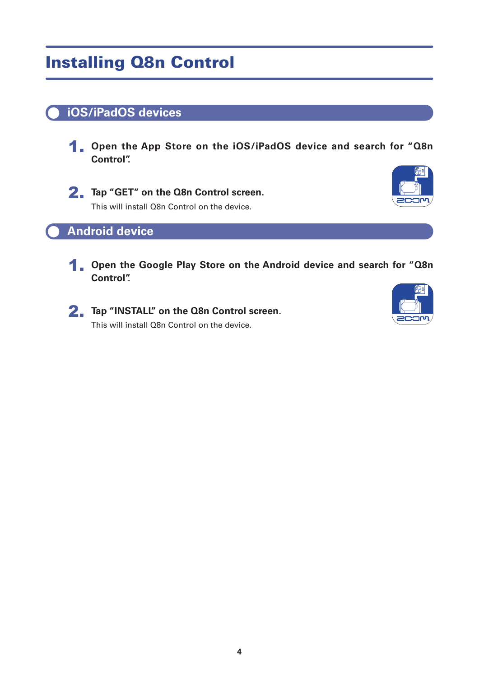## <span id="page-3-0"></span>Installing Q8n Control

#### **iOS/iPadOS devices**

1. **Open the App Store on the iOS/iPadOS device and search for "Q8n Control".**



2. **Tap "GET" on the Q8n Control screen.** This will install Q8n Control on the device.



#### **Android device**

1. **Open the Google Play Store on the Android device and search for "Q8n Control".**



2. **Tap "INSTALL" on the Q8n Control screen.** This will install Q8n Control on the device.

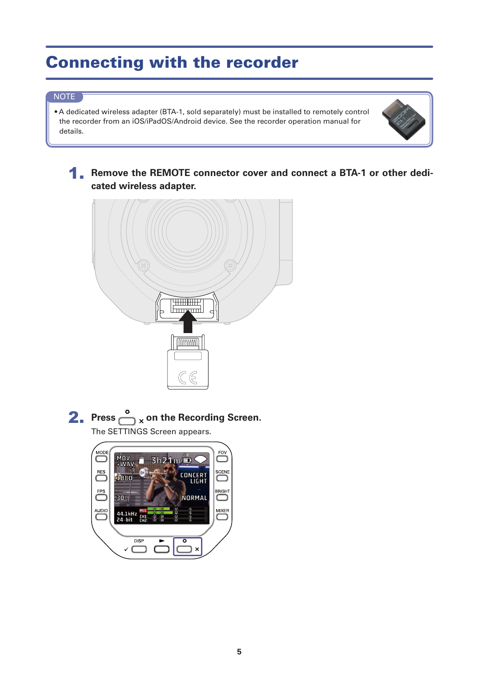## <span id="page-4-0"></span>Connecting with the recorder

#### NOTE

• A dedicated wireless adapter (BTA-1, sold separately) must be installed to remotely control the recorder from an iOS/iPadOS/Android device. See the recorder operation manual for details.



**1. Remove the REMOTE connector cover and connect a BTA-1 or other dedicated wireless adapter.**



**2.** Press  $\bigodot^{\circ}$  x on the Recording Screen. The SETTINGS Screen appears.

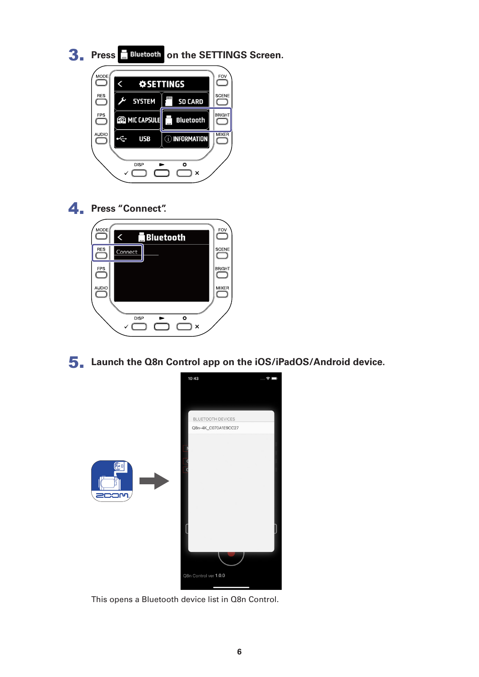



#### 4. **Press "Connect".**



5. **Launch the Q8n Control app on the iOS/iPadOS/Android device.**



This opens a Bluetooth device list in Q8n Control.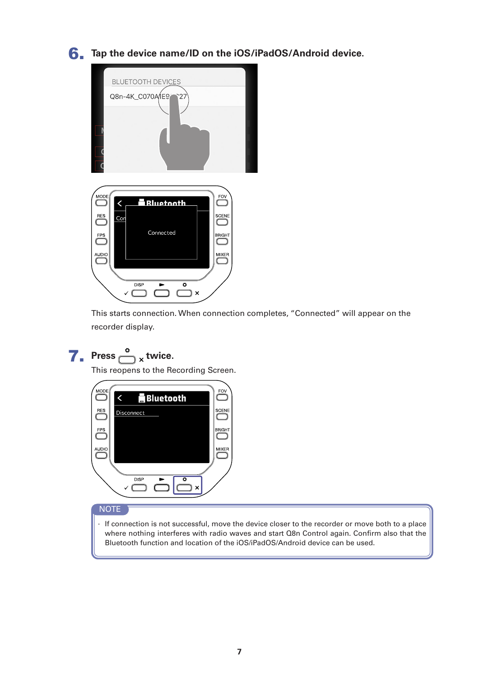#### 6. **Tap the device name/ID on the iOS/iPadOS/Android device.**



This starts connection. When connection completes, "Connected" will appear on the recorder display.

## **7.** Press  $\bigodot^{\circ}$  x twice.

This reopens to the Recording Screen.



#### NOTE

· If connection is not successful, move the device closer to the recorder or move both to a place where nothing interferes with radio waves and start Q8n Control again. Confirm also that the Bluetooth function and location of the iOS/iPadOS/Android device can be used.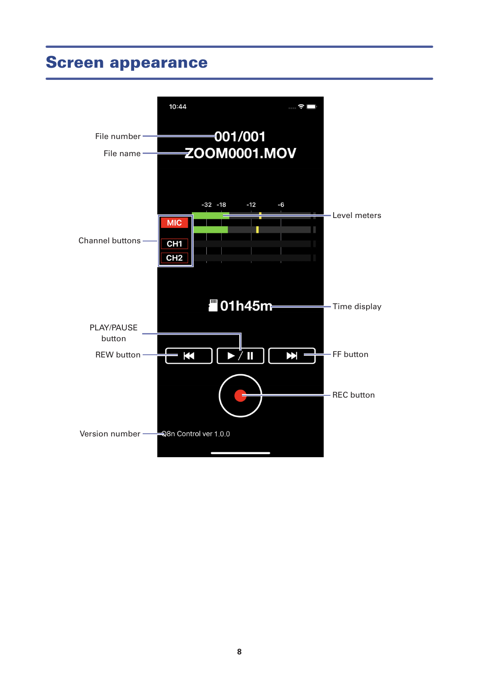### <span id="page-7-0"></span>Screen appearance

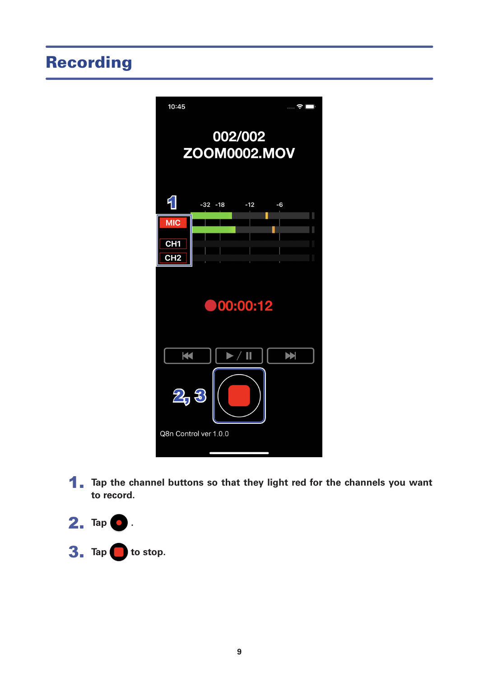## <span id="page-8-0"></span>Recording



1. Tap the channel buttons so that they light red for the channels you want **to record.**

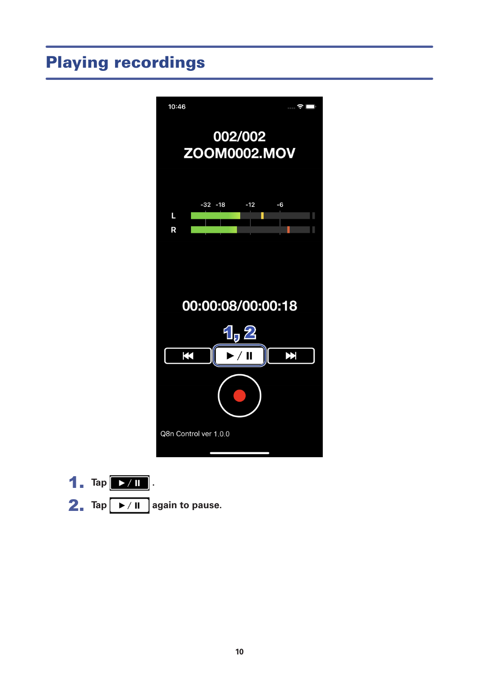## <span id="page-9-0"></span>Playing recordings